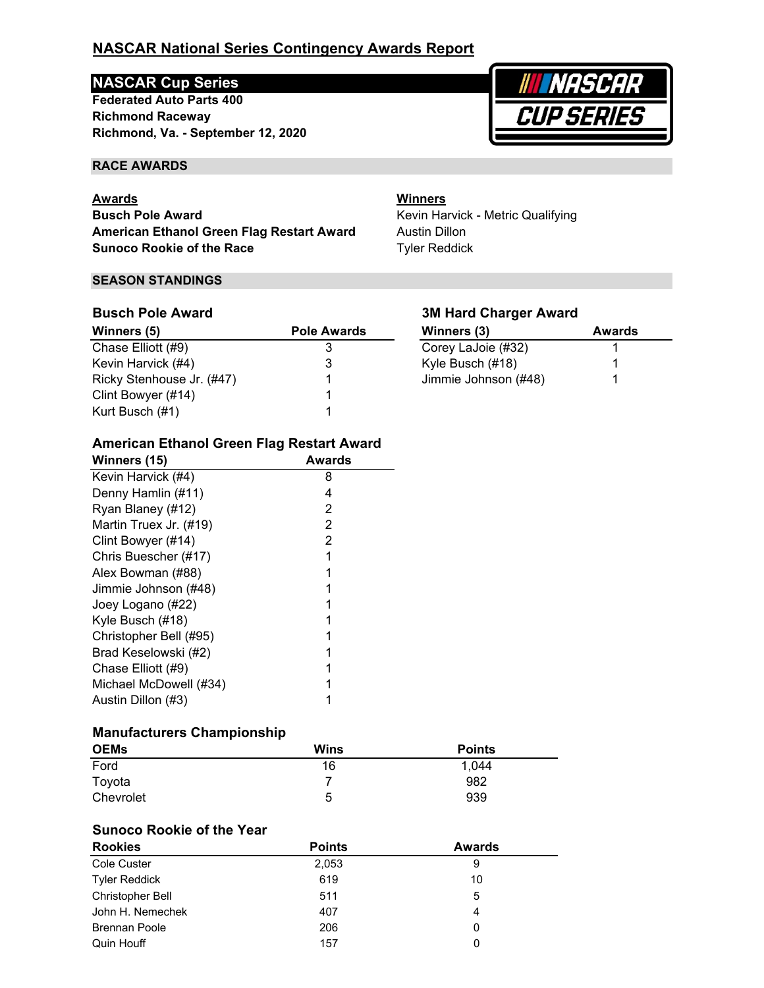# **NASCAR Cup Series**

**Richmond Raceway Federated Auto Parts 400 Richmond, Va. - September 12, 2020**



#### **RACE AWARDS**

### **Awards**

**Busch Pole Award American Ethanol Green Flag Restart Award Sunoco Rookie of the Race**

#### **SEASON STANDINGS**

## Winners (5) **Pole Awards**  $\overline{\text{Chase Elliott (#9)}}$  3 Kevin Harvick (#4) 3 Ricky Stenhouse Jr. (#47) 1 Clint Bowyer (#14) 1 Kurt Busch (#1) 1 **Busch Pole Award**

## **3M Hard Charger Award**

Kevin Harvick - Metric Qualifying

**Winners**

Austin Dillon Tyler Reddick

| Winners (3)          | Awards |
|----------------------|--------|
| Corey LaJoie (#32)   |        |
| Kyle Busch (#18)     |        |
| Jimmie Johnson (#48) |        |

### **American Ethanol Green Flag Restart Award**

| Winners (15)           | Awards |
|------------------------|--------|
| Kevin Harvick (#4)     | 8      |
| Denny Hamlin (#11)     | 4      |
| Ryan Blaney (#12)      | 2      |
| Martin Truex Jr. (#19) | 2      |
| Clint Bowyer (#14)     | 2      |
| Chris Buescher (#17)   |        |
| Alex Bowman (#88)      |        |
| Jimmie Johnson (#48)   |        |
| Joey Logano (#22)      |        |
| Kyle Busch (#18)       |        |
| Christopher Bell (#95) |        |
| Brad Keselowski (#2)   |        |
| Chase Elliott (#9)     |        |
| Michael McDowell (#34) |        |
| Austin Dillon (#3)     |        |

## **Manufacturers Championship**

| <b>OEMs</b> | <b>Wins</b> | <b>Points</b> |
|-------------|-------------|---------------|
| Ford        | 16          | 1.044         |
| Toyota      |             | 982           |
| Chevrolet   | 5           | 939           |

## **Sunoco Rookie of the Year**

| <b>Rookies</b>          | <b>Points</b> | <b>Awards</b> |  |
|-------------------------|---------------|---------------|--|
| Cole Custer             | 2,053         | 9             |  |
| <b>Tyler Reddick</b>    | 619           | 10            |  |
| <b>Christopher Bell</b> | 511           | 5             |  |
| John H. Nemechek        | 407           | 4             |  |
| <b>Brennan Poole</b>    | 206           | 0             |  |
| Quin Houff              | 157           | 0             |  |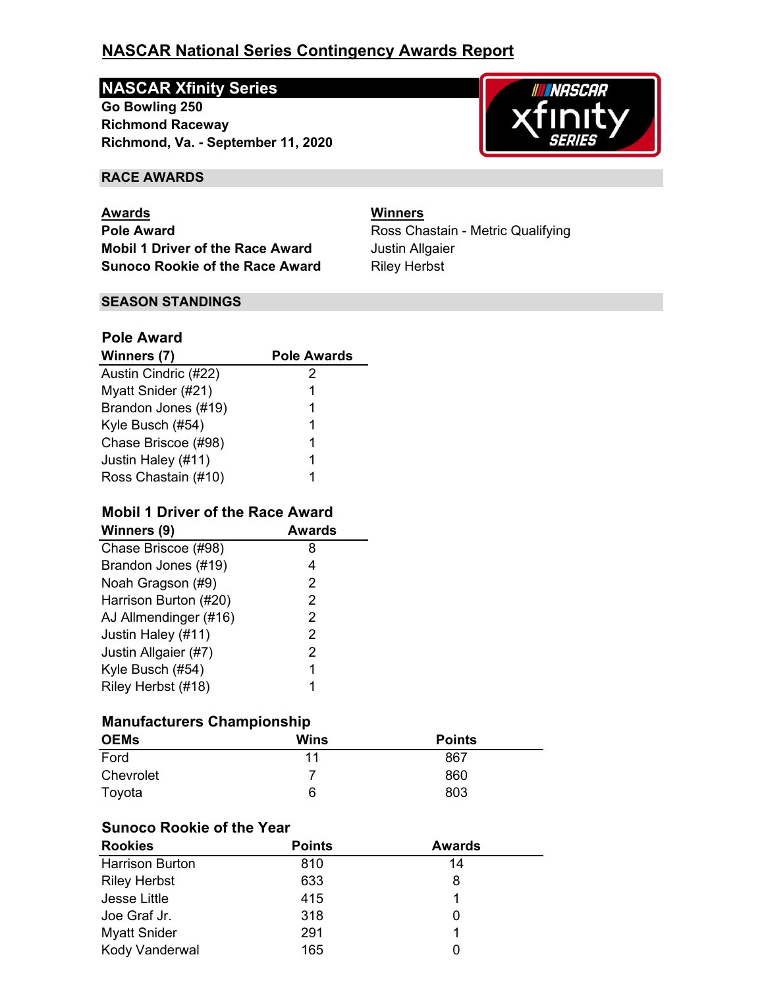# **NASCAR Xfinity Series**

**Richmond, Va. - September 11, 2020 Go Bowling 250 Richmond Raceway**



## **RACE AWARDS**

**Pole Award Pole Award Ross Chastain - Metric Qualifying Mobil 1 Driver of the Race Award** Justin Allgaier **Sunoco Rookie of the Race Award Riley Herbst Awards Winners**

#### **SEASON STANDINGS**

## **Pole Award**

| Winners (7)          | <b>Pole Awards</b> |
|----------------------|--------------------|
| Austin Cindric (#22) | 2                  |
| Myatt Snider (#21)   | 1                  |
| Brandon Jones (#19)  | 1                  |
| Kyle Busch (#54)     | 1                  |
| Chase Briscoe (#98)  | 1                  |
| Justin Haley (#11)   | 1                  |
| Ross Chastain (#10)  |                    |

## **Mobil 1 Driver of the Race Award**

| Winners (9)           | <b>Awards</b> |
|-----------------------|---------------|
| Chase Briscoe (#98)   | 8             |
| Brandon Jones (#19)   | 4             |
| Noah Gragson (#9)     | 2             |
| Harrison Burton (#20) | 2             |
| AJ Allmendinger (#16) | 2             |
| Justin Haley (#11)    | 2             |
| Justin Allgaier (#7)  | 2             |
| Kyle Busch (#54)      | 1             |
| Riley Herbst (#18)    | 1             |

## **Manufacturers Championship**

| <b>OEMs</b> | Wins | <b>Points</b> |  |
|-------------|------|---------------|--|
| Ford        | 11   | 867           |  |
| Chevrolet   |      | 860           |  |
| Toyota      | 6    | 803           |  |

## **Sunoco Rookie of the Year**

| <b>Rookies</b>         | <b>Points</b> | <b>Awards</b> |  |
|------------------------|---------------|---------------|--|
| <b>Harrison Burton</b> | 810           | 14            |  |
| <b>Riley Herbst</b>    | 633           | 8             |  |
| Jesse Little           | 415           |               |  |
| Joe Graf Jr.           | 318           |               |  |
| <b>Myatt Snider</b>    | 291           |               |  |
| Kody Vanderwal         | 165           |               |  |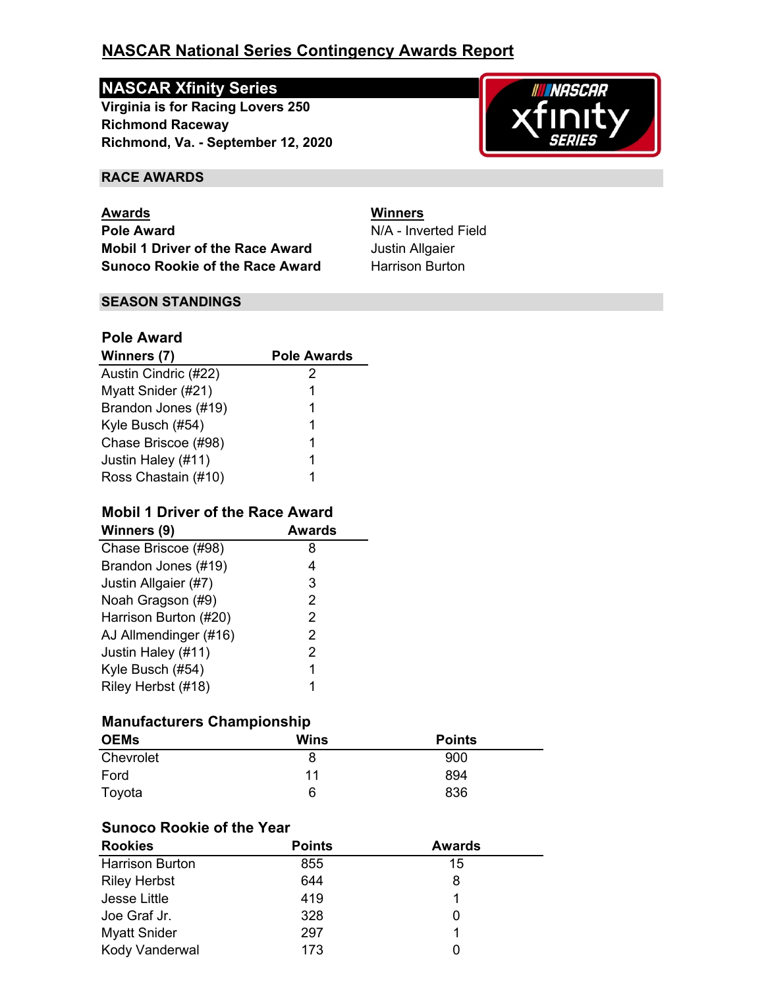# **NASCAR Xfinity Series**

**Richmond, Va. - September 12, 2020 Virginia is for Racing Lovers 250 Richmond Raceway**



## **RACE AWARDS**

**Pole Award** N/A - Inverted Field **Mobil 1 Driver of the Race Award** Justin Allgaier **Sunoco Rookie of the Race Award Harrison Burton Awards Winners**

## **SEASON STANDINGS**

## **Pole Award**

| Winners (7)          | <b>Pole Awards</b> |
|----------------------|--------------------|
| Austin Cindric (#22) | 2                  |
| Myatt Snider (#21)   | 1                  |
| Brandon Jones (#19)  | 1                  |
| Kyle Busch (#54)     | 1                  |
| Chase Briscoe (#98)  | 1                  |
| Justin Haley (#11)   | 1                  |
| Ross Chastain (#10)  |                    |

## **Mobil 1 Driver of the Race Award**

| Winners (9)           | Awards |
|-----------------------|--------|
| Chase Briscoe (#98)   | 8      |
| Brandon Jones (#19)   | 4      |
| Justin Allgaier (#7)  | 3      |
| Noah Gragson (#9)     | 2      |
| Harrison Burton (#20) | 2      |
| AJ Allmendinger (#16) | 2      |
| Justin Haley (#11)    | 2      |
| Kyle Busch (#54)      | 1      |
| Riley Herbst (#18)    |        |

## **Manufacturers Championship**

| <b>OEMs</b> | Wins | <b>Points</b> |
|-------------|------|---------------|
| Chevrolet   | 8    | 900           |
| Ford        | 11   | 894           |
| Toyota      | 6    | 836           |

## **Sunoco Rookie of the Year**

| <b>Rookies</b>         | <b>Points</b> | <b>Awards</b> |  |
|------------------------|---------------|---------------|--|
| <b>Harrison Burton</b> | 855           | 15            |  |
| <b>Riley Herbst</b>    | 644           | 8             |  |
| Jesse Little           | 419           |               |  |
| Joe Graf Jr.           | 328           | 0             |  |
| <b>Myatt Snider</b>    | 297           | 1             |  |
| Kody Vanderwal         | 173           |               |  |